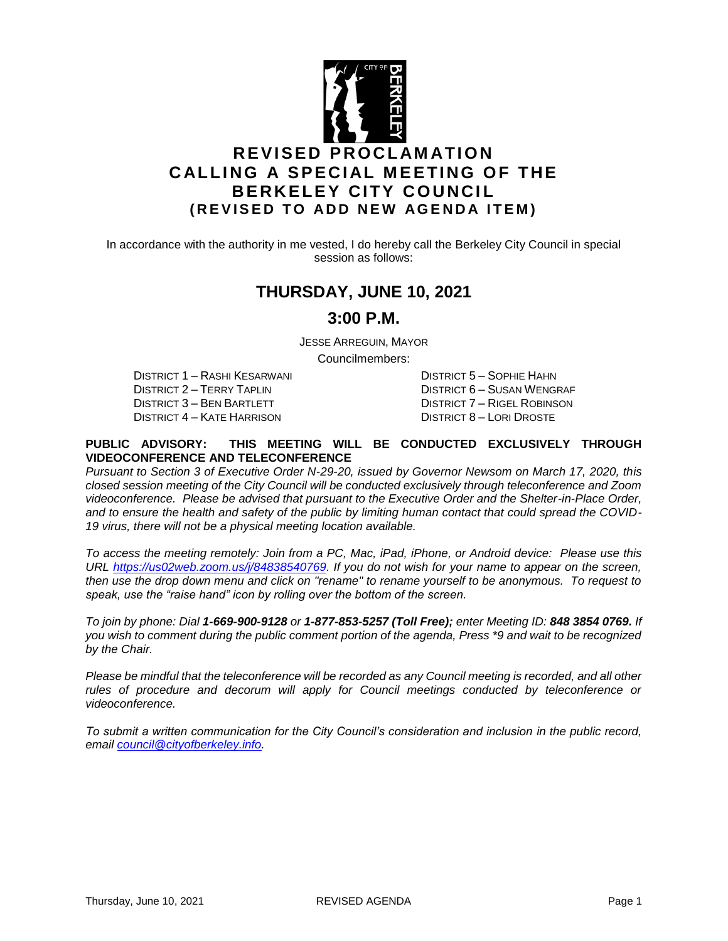

In accordance with the authority in me vested, I do hereby call the Berkeley City Council in special session as follows:

## **THURSDAY, JUNE 10, 2021**

## **3:00 P.M.**

JESSE ARREGUIN, MAYOR

Councilmembers:

DISTRICT 1 – RASHI KESARWANI DISTRICT 5 – SOPHIE HAHN DISTRICT 2 – TERRY TAPLIN DISTRICT 6 – SUSAN WENGRAF DISTRICT 3 – BEN BARTLETT DISTRICT 7 – RIGEL ROBINSON DISTRICT 4 – KATE HARRISON DISTRICT 8 – LORI DROSTE

#### **PUBLIC ADVISORY: THIS MEETING WILL BE CONDUCTED EXCLUSIVELY THROUGH VIDEOCONFERENCE AND TELECONFERENCE**

*Pursuant to Section 3 of Executive Order N-29-20, issued by Governor Newsom on March 17, 2020, this closed session meeting of the City Council will be conducted exclusively through teleconference and Zoom videoconference. Please be advised that pursuant to the Executive Order and the Shelter-in-Place Order, and to ensure the health and safety of the public by limiting human contact that could spread the COVID-19 virus, there will not be a physical meeting location available.* 

*To access the meeting remotely: Join from a PC, Mac, iPad, iPhone, or Android device: Please use this URL [https://us02web.zoom.us/j/84838540769.](https://us02web.zoom.us/j/84838540769) If you do not wish for your name to appear on the screen, then use the drop down menu and click on "rename" to rename yourself to be anonymous. To request to speak, use the "raise hand" icon by rolling over the bottom of the screen.* 

*To join by phone: Dial 1-669-900-9128 or 1-877-853-5257 (Toll Free); enter Meeting ID: 848 3854 0769. If you wish to comment during the public comment portion of the agenda, Press \*9 and wait to be recognized by the Chair.* 

*Please be mindful that the teleconference will be recorded as any Council meeting is recorded, and all other*  rules of procedure and decorum will apply for Council meetings conducted by teleconference or *videoconference.*

*To submit a written communication for the City Council's consideration and inclusion in the public record, email [council@cityofberkeley.info.](mailto:council@cityofberkeley.info)*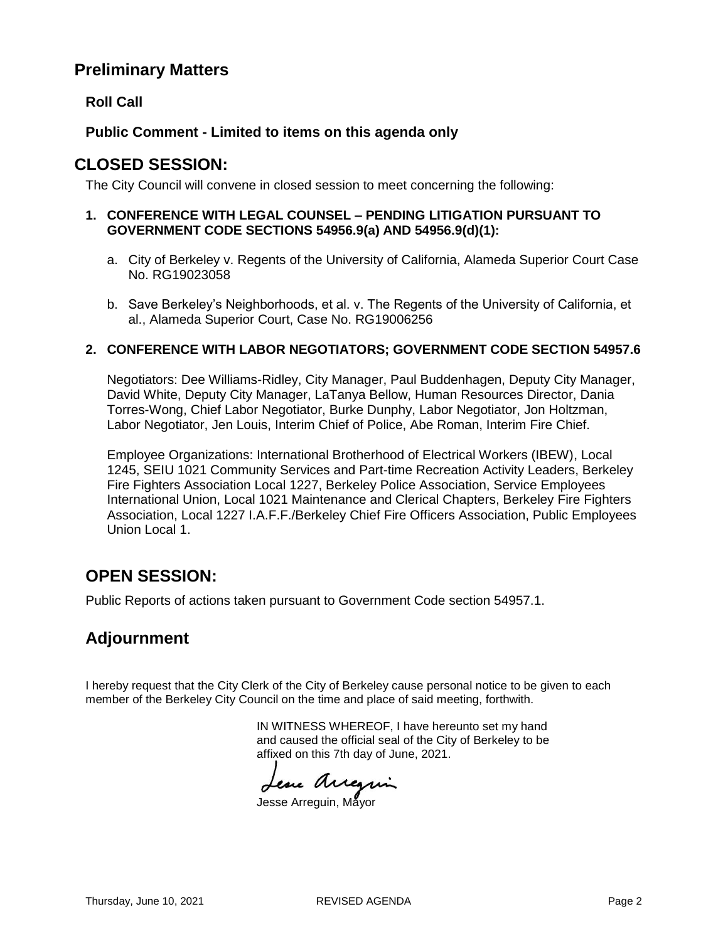## **Preliminary Matters**

## **Roll Call**

### **Public Comment - Limited to items on this agenda only**

## **CLOSED SESSION:**

The City Council will convene in closed session to meet concerning the following:

#### **1. CONFERENCE WITH LEGAL COUNSEL – PENDING LITIGATION PURSUANT TO GOVERNMENT CODE SECTIONS 54956.9(a) AND 54956.9(d)(1):**

- a. City of Berkeley v. Regents of the University of California, Alameda Superior Court Case No. RG19023058
- b. Save Berkeley's Neighborhoods, et al. v. The Regents of the University of California, et al., Alameda Superior Court, Case No. RG19006256

#### **2. CONFERENCE WITH LABOR NEGOTIATORS; GOVERNMENT CODE SECTION 54957.6**

Negotiators: Dee Williams-Ridley, City Manager, Paul Buddenhagen, Deputy City Manager, David White, Deputy City Manager, LaTanya Bellow, Human Resources Director, Dania Torres-Wong, Chief Labor Negotiator, Burke Dunphy, Labor Negotiator, Jon Holtzman, Labor Negotiator, Jen Louis, Interim Chief of Police, Abe Roman, Interim Fire Chief.

Employee Organizations: International Brotherhood of Electrical Workers (IBEW), Local 1245, SEIU 1021 Community Services and Part-time Recreation Activity Leaders, Berkeley Fire Fighters Association Local 1227, Berkeley Police Association, Service Employees International Union, Local 1021 Maintenance and Clerical Chapters, Berkeley Fire Fighters Association, Local 1227 I.A.F.F./Berkeley Chief Fire Officers Association, Public Employees Union Local 1.

# **OPEN SESSION:**

Public Reports of actions taken pursuant to Government Code section 54957.1.

# **Adjournment**

I hereby request that the City Clerk of the City of Berkeley cause personal notice to be given to each member of the Berkeley City Council on the time and place of said meeting, forthwith.

> IN WITNESS WHEREOF, I have hereunto set my hand and caused the official seal of the City of Berkeley to be affixed on this 7th day of June, 2021.

Lesse Arregin

Jesse Arreguin, Mayor